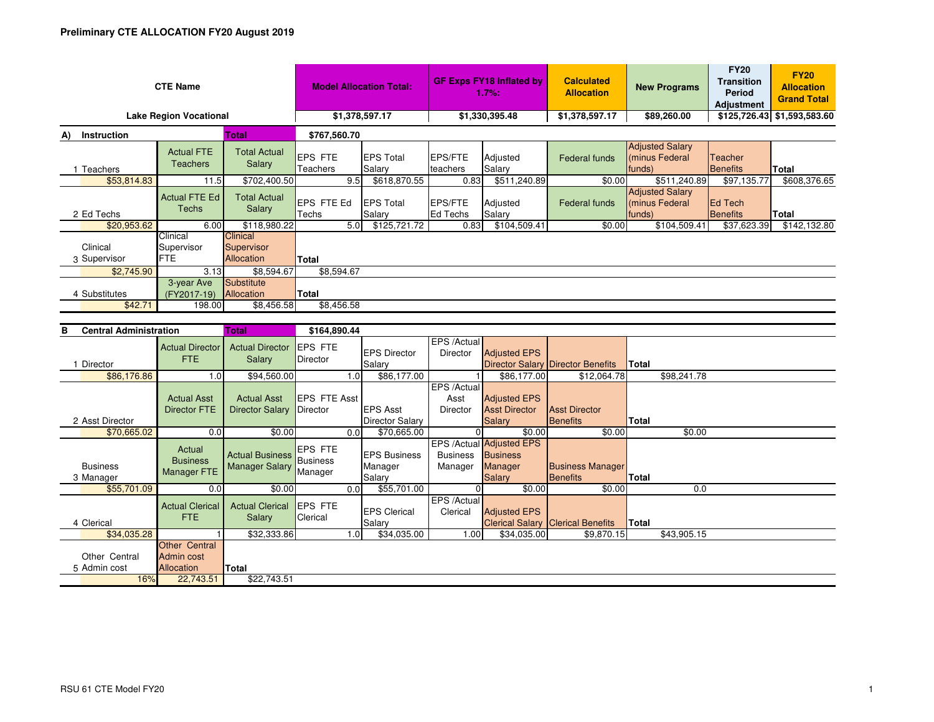| <b>CTE Name</b>               | <b>Model Allocation Total:</b>       |                                             | <b>GF Exps FY18 Inflated by</b><br>1.7%: |                            | <b>Calculated</b><br><b>Allocation</b> | <b>New Programs</b> | <b>FY20</b><br><b>Transition</b><br>Period<br><b>Adjustment</b> | <b>FY20</b><br><b>Allocation</b><br><b>Grand Total</b> |                            |              |
|-------------------------------|--------------------------------------|---------------------------------------------|------------------------------------------|----------------------------|----------------------------------------|---------------------|-----------------------------------------------------------------|--------------------------------------------------------|----------------------------|--------------|
| <b>Lake Region Vocational</b> | \$1,378,597.17                       |                                             | \$1,330,395.48                           |                            | \$1,378,597.17                         | \$89,260.00         |                                                                 | \$125,726.43 \$1,593,583.60                            |                            |              |
| Instruction<br>Total<br>A)    |                                      |                                             | \$767,560.70                             |                            |                                        |                     |                                                                 |                                                        |                            |              |
| Teachers                      | <b>Actual FTE</b><br><b>Teachers</b> | <b>Total Actual</b><br>Salary               | <b>EPS FTE</b><br>Teachers               | <b>EPS Total</b><br>Salary | <b>EPS/FTE</b><br>teachers             | Adjusted<br>Salary  | Federal funds                                                   | <b>Adjusted Salary</b><br>(minus Federal<br>funds)     | Teacher<br><b>Benefits</b> | <b>Total</b> |
| \$53,814.83                   | 11.5                                 | \$702,400.50                                | 9.5                                      | \$618,870.55               | 0.83                                   | \$511,240.89        | \$0.00                                                          | \$511,240.89                                           | \$97,135.77                | \$608,376.65 |
| 2 Ed Techs                    | <b>Actual FTE Ed</b><br>Techs        | <b>Total Actual</b><br><b>Salary</b>        | EPS FTE Ed<br>Techs                      | <b>EPS Total</b><br>Salary | EPS/FTE<br>Ed Techs                    | Adjusted<br>Salary  | Federal funds                                                   | <b>Adjusted Salary</b><br>(minus Federal<br>funds)     | <b>Ed Tech</b><br>Benefits | Total        |
| \$20,953.62                   | 6.00                                 | \$118,980.22                                | 5.0                                      | \$125,721.72               | 0.83                                   | \$104,509.41        | \$0.00                                                          | \$104,509.41                                           | \$37,623.39                | \$142,132.80 |
| Clinical<br>3 Supervisor      | Clinical<br>Supervisor<br><b>FTE</b> | <b>Clinical</b><br>Supervisor<br>Allocation | <b>Total</b>                             |                            |                                        |                     |                                                                 |                                                        |                            |              |
| \$2,745.90                    | 3.13                                 | \$8,594.67                                  | \$8,594.67                               |                            |                                        |                     |                                                                 |                                                        |                            |              |
| 4 Substitutes<br>\$42.71      | 3-year Ave<br>(FY2017-19)<br>198.00  | Substitute<br>Allocation<br>\$8,456.58      | <b>Total</b><br>\$8,456.58               |                            |                                        |                     |                                                                 |                                                        |                            |              |
| Central Administration<br>R   | \$164,890.44                         |                                             |                                          |                            |                                        |                     |                                                                 |                                                        |                            |              |

| <b>Central Administration</b><br>в |                                                         | Total                                           | \$164,890.44                |      |                                 |                            |                                                               |                                          |              |             |  |
|------------------------------------|---------------------------------------------------------|-------------------------------------------------|-----------------------------|------|---------------------------------|----------------------------|---------------------------------------------------------------|------------------------------------------|--------------|-------------|--|
|                                    | <b>Actual Director</b><br><b>FTE</b>                    | <b>Actual Director</b><br>Salary                | <b>IEPS FTE</b><br>Director |      | <b>EPS Director</b>             | EPS /Actual<br>Director    | <b>Adjusted EPS</b>                                           |                                          |              |             |  |
| Director                           |                                                         |                                                 |                             |      | Salary                          |                            |                                                               | <b>Director Salary Director Benefits</b> | <b>Total</b> |             |  |
| \$86,176.86                        | 1.0                                                     | \$94,560.00                                     |                             | 1.0  | \$86,177.00                     |                            | \$86,177.00                                                   | \$12,064.78                              |              | \$98,241.78 |  |
|                                    |                                                         |                                                 |                             |      |                                 | EPS /Actual                |                                                               |                                          |              |             |  |
|                                    | <b>Actual Asst</b>                                      | <b>Actual Asst</b>                              | <b>IEPS FTE Asst</b>        |      |                                 | Asst                       | <b>Adjusted EPS</b>                                           |                                          |              |             |  |
|                                    | <b>Director FTE</b>                                     | <b>Director Salary</b>                          | Director                    |      | <b>EPS Asst</b>                 | <b>Director</b>            | <b>Asst Director</b>                                          | <b>Asst Director</b>                     |              |             |  |
| 2 Asst Director                    |                                                         |                                                 |                             |      | <b>Director Salary</b>          |                            | <b>Salary</b>                                                 | Benefits                                 | Total        |             |  |
| \$70,665.02                        | 0.0                                                     | \$0.00                                          |                             | 0.0  | \$70,665.00                     |                            | \$0.00                                                        | \$0.00                                   |              | \$0.00      |  |
| <b>Business</b>                    | Actual<br><b>Business</b>                               | <b>Actual Business</b><br><b>Manager Salary</b> | <b>EPS FTE</b><br>Business  |      | <b>IEPS Business</b><br>Manager | <b>Business</b><br>Manager | EPS /Actual Adjusted EPS<br><b>Business</b><br><b>Manager</b> | <b>Business Manager</b>                  |              |             |  |
| 3 Manager                          | Manager FTE                                             |                                                 | Manager                     |      | Salary                          |                            | <b>Salary</b>                                                 | Benefits                                 | <b>Total</b> |             |  |
| \$55,701.09                        | 0.0                                                     | \$0.00                                          |                             | 0.01 | \$55,701.00                     | $\Omega$                   | \$0.00                                                        | \$0.00                                   |              | 0.0         |  |
| 4 Clerical                         | <b>Actual Clerical</b><br>FTE.                          | <b>Actual Clerical</b><br>Salary                | <b>EPS FTE</b><br>Clerical  |      | <b>EPS Clerical</b><br>Salary   | EPS /Actual<br>Clerical    | <b>Adjusted EPS</b>                                           | <b>Clerical Salary Clerical Benefits</b> | Total        |             |  |
| \$34,035.28                        |                                                         | \$32,333.86                                     |                             | 1.0  | \$34,035.00                     | 1.00                       | \$34,035.00                                                   | \$9,870.15                               |              | \$43,905.15 |  |
| Other Central<br>5 Admin cost      | <b>Other Central</b><br>Admin cost<br><b>Allocation</b> | Total                                           |                             |      |                                 |                            |                                                               |                                          |              |             |  |
| 16%                                | 22,743.51                                               | \$22,743.51                                     |                             |      |                                 |                            |                                                               |                                          |              |             |  |